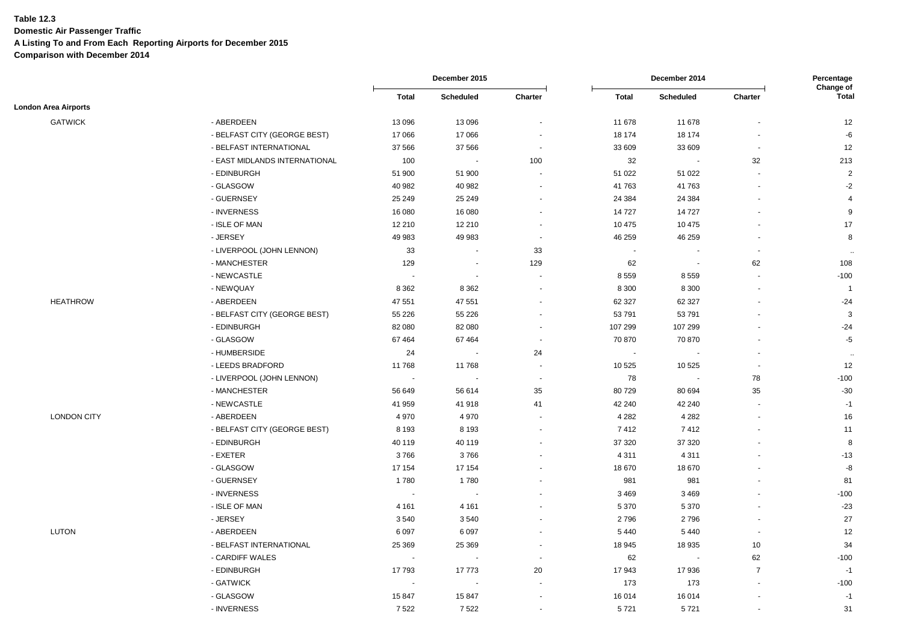**Domestic Air Passenger Traffic**

**A Listing To and From Each Reporting Airports for December 2015**

|                             |                               |                | December 2015    |                          |              | December 2014            |                          |                           |
|-----------------------------|-------------------------------|----------------|------------------|--------------------------|--------------|--------------------------|--------------------------|---------------------------|
|                             |                               | <b>Total</b>   | <b>Scheduled</b> | Charter                  | <b>Total</b> | <b>Scheduled</b>         | Charter                  | Change of<br><b>Total</b> |
| <b>London Area Airports</b> |                               |                |                  |                          |              |                          |                          |                           |
| <b>GATWICK</b>              | - ABERDEEN                    | 13 0 96        | 13 096           |                          | 11 678       | 11 678                   |                          | 12                        |
|                             | - BELFAST CITY (GEORGE BEST)  | 17 066         | 17 066           |                          | 18 174       | 18 174                   |                          | -6                        |
|                             | - BELFAST INTERNATIONAL       | 37 566         | 37 566           |                          | 33 609       | 33 609                   |                          | 12                        |
|                             | - EAST MIDLANDS INTERNATIONAL | 100            | $\sim$           | 100                      | 32           | $\overline{\phantom{a}}$ | 32                       | 213                       |
|                             | - EDINBURGH                   | 51 900         | 51 900           |                          | 51 022       | 51 022                   |                          | $\overline{2}$            |
|                             | - GLASGOW                     | 40 982         | 40 982           | $\sim$                   | 41 763       | 41763                    | $\overline{\phantom{a}}$ | $-2$                      |
|                             | - GUERNSEY                    | 25 249         | 25 249           |                          | 24 3 84      | 24 3 84                  |                          | $\overline{4}$            |
|                             | - INVERNESS                   | 16 080         | 16 080           |                          | 14727        | 14727                    |                          | 9                         |
|                             | - ISLE OF MAN                 | 12 210         | 12 210           |                          | 10 475       | 10 475                   |                          | 17                        |
|                             | - JERSEY                      | 49 983         | 49 983           | $\overline{\phantom{a}}$ | 46 259       | 46 259                   | $\sim$                   | 8                         |
|                             | - LIVERPOOL (JOHN LENNON)     | 33             | $\blacksquare$   | 33                       |              | $\blacksquare$           | $\overline{\phantom{a}}$ | $\sim$                    |
|                             | - MANCHESTER                  | 129            | $\blacksquare$   | 129                      | 62           | $\overline{\phantom{a}}$ | 62                       | 108                       |
|                             | - NEWCASTLE                   |                | $\sim$           |                          | 8 5 5 9      | 8559                     |                          | $-100$                    |
|                             | - NEWQUAY                     | 8 3 6 2        | 8 3 6 2          | $\overline{\phantom{a}}$ | 8 3 0 0      | 8 3 0 0                  |                          | $\overline{1}$            |
| <b>HEATHROW</b>             | - ABERDEEN                    | 47 551         | 47 551           |                          | 62 327       | 62 327                   |                          | $-24$                     |
|                             | - BELFAST CITY (GEORGE BEST)  | 55 2 26        | 55 226           |                          | 53 791       | 53791                    |                          | $\mathbf{3}$              |
|                             | - EDINBURGH                   | 82 080         | 82 080           |                          | 107 299      | 107 299                  |                          | $-24$                     |
|                             | - GLASGOW                     | 67464          | 67 4 64          | $\sim$                   | 70 870       | 70 870                   |                          | $-5$                      |
|                             | - HUMBERSIDE                  | 24             | $\blacksquare$   | 24                       | $\sim$       | $\overline{\phantom{a}}$ |                          | $\sim$                    |
|                             | - LEEDS BRADFORD              | 11768          | 11768            | $\overline{\phantom{a}}$ | 10 525       | 10 5 25                  |                          | 12                        |
|                             | - LIVERPOOL (JOHN LENNON)     | $\sim$         | $\sim$           | $\blacksquare$           | 78           | $\sim$                   | 78                       | $-100$                    |
|                             | - MANCHESTER                  | 56 649         | 56 614           | 35                       | 80729        | 80 694                   | 35                       | $-30$                     |
|                             | - NEWCASTLE                   | 41 959         | 41 918           | 41                       | 42 240       | 42 240                   | $\sim$                   | $-1$                      |
| <b>LONDON CITY</b>          | - ABERDEEN                    | 4 9 7 0        | 4 9 7 0          | $\overline{\phantom{a}}$ | 4 2 8 2      | 4 2 8 2                  |                          | 16                        |
|                             | - BELFAST CITY (GEORGE BEST)  | 8 1 9 3        | 8 1 9 3          |                          | 7412         | 7412                     |                          | 11                        |
|                             | - EDINBURGH                   | 40 119         | 40 119           |                          | 37 320       | 37 320                   |                          | 8                         |
|                             | - EXETER                      | 3766           | 3766             |                          | 4 3 1 1      | 4 3 1 1                  |                          | $-13$                     |
|                             | - GLASGOW                     | 17 154         | 17 154           |                          | 18670        | 18 670                   |                          | $\textnormal{-}8$         |
|                             | - GUERNSEY                    | 1780           | 1780             |                          | 981          | 981                      |                          | 81                        |
|                             | - INVERNESS                   | $\sim$         | $\blacksquare$   |                          | 3 4 6 9      | 3 4 6 9                  |                          | $-100$                    |
|                             | - ISLE OF MAN                 | 4 1 6 1        | 4 1 6 1          |                          | 5 3 7 0      | 5 3 7 0                  |                          | $-23$                     |
|                             | - JERSEY                      | 3540           | 3540             |                          | 2796         | 2796                     |                          | 27                        |
| <b>LUTON</b>                | - ABERDEEN                    | 6 0 9 7        | 6 0 9 7          |                          | 5 4 4 0      | 5 4 4 0                  | $\sim$                   | 12                        |
|                             | - BELFAST INTERNATIONAL       | 25 3 69        | 25 369           |                          | 18 945       | 18 9 35                  | 10                       | 34                        |
|                             | - CARDIFF WALES               | $\blacksquare$ | ÷.               | $\overline{\phantom{a}}$ | 62           | $\sim$                   | 62                       | $-100$                    |
|                             | - EDINBURGH                   | 17793          | 17773            | 20                       | 17943        | 17936                    | $\overline{7}$           | $-1$                      |
|                             | - GATWICK                     |                | ä,               |                          | 173          | 173                      |                          | $-100$                    |
|                             | - GLASGOW                     | 15847          | 15 847           | $\overline{\phantom{a}}$ | 16 014       | 16 014                   | $\overline{\phantom{a}}$ | $-1$                      |
|                             | - INVERNESS                   | 7522           | 7522             | $\sim$                   | 5721         | 5721                     |                          | 31                        |
|                             |                               |                |                  |                          |              |                          |                          |                           |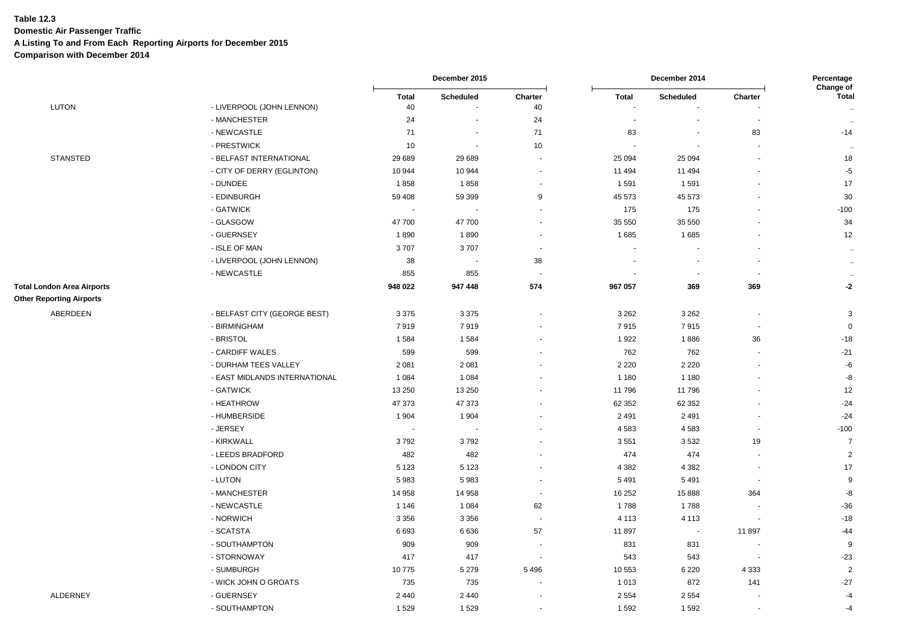**Domestic Air Passenger Traffic**

**A Listing To and From Each Reporting Airports for December 2015**

|                                   |                               |             | December 2015  |                          |              | Percentage<br>Change of  |                          |                      |
|-----------------------------------|-------------------------------|-------------|----------------|--------------------------|--------------|--------------------------|--------------------------|----------------------|
| <b>LUTON</b>                      | - LIVERPOOL (JOHN LENNON)     | Total<br>40 | Scheduled      | Charter<br>40            | <b>Total</b> | Scheduled                | Charter                  | <b>Total</b>         |
|                                   | - MANCHESTER                  | 24          | $\blacksquare$ | 24                       |              |                          |                          | $\sim$<br>$\ddotsc$  |
|                                   | - NEWCASTLE                   | 71          | ÷.             | 71                       | 83           | $\overline{\phantom{a}}$ | 83                       | $-14$                |
|                                   | - PRESTWICK                   | 10          | $\sim$         | 10                       |              | $\overline{\phantom{a}}$ |                          | $\ddotsc$            |
| <b>STANSTED</b>                   | - BELFAST INTERNATIONAL       | 29 689      | 29 689         | $\overline{\phantom{a}}$ | 25 0 94      | 25 094                   | ٠                        | 18                   |
|                                   | - CITY OF DERRY (EGLINTON)    | 10 944      | 10 944         | $\blacksquare$           | 11 494       | 11 4 94                  |                          | $-5$                 |
|                                   | - DUNDEE                      | 1858        | 1858           | $\blacksquare$           | 1591         | 1 5 9 1                  |                          | 17                   |
|                                   | - EDINBURGH                   | 59 408      | 59 399         | 9                        | 45 573       | 45 573                   | ä,                       | 30                   |
|                                   | - GATWICK                     | $\sim$      | ÷,             | $\blacksquare$           | 175          | 175                      |                          | $-100$               |
|                                   | - GLASGOW                     | 47700       | 47 700         | $\overline{\phantom{a}}$ | 35 550       | 35 550                   |                          | 34                   |
|                                   | - GUERNSEY                    | 1890        | 1890           | $\blacksquare$           | 1685         | 1685                     |                          | 12                   |
|                                   | - ISLE OF MAN                 | 3707        | 3707           | $\sim$                   |              |                          |                          | $\ddotsc$            |
|                                   | - LIVERPOOL (JOHN LENNON)     | 38          | $\sim$         | 38                       |              |                          | $\sim$                   | $\bullet\bullet$     |
|                                   | - NEWCASTLE                   | 855         | 855            | $\sim$                   |              | $\overline{\phantom{a}}$ | $\overline{\phantom{a}}$ | $\ddot{\phantom{1}}$ |
| <b>Total London Area Airports</b> |                               | 948 022     | 947 448        | 574                      | 967 057      | 369                      | 369                      | $-2$                 |
| <b>Other Reporting Airports</b>   |                               |             |                |                          |              |                          |                          |                      |
| ABERDEEN                          | - BELFAST CITY (GEORGE BEST)  | 3 3 7 5     | 3 3 7 5        | $\sim$                   | 3 2 6 2      | 3 2 6 2                  |                          | 3                    |
|                                   | - BIRMINGHAM                  | 7919        | 7919           |                          | 7915         | 7915                     | $\overline{\phantom{a}}$ | $\mathsf 0$          |
|                                   | - BRISTOL                     | 1584        | 1584           | $\sim$                   | 1922         | 1886                     | 36                       | $-18$                |
|                                   | - CARDIFF WALES               | 599         | 599            |                          | 762          | 762                      |                          | $-21$                |
|                                   | - DURHAM TEES VALLEY          | 2 0 8 1     | 2 0 8 1        |                          | 2 2 2 0      | 2 2 2 0                  |                          | -6                   |
|                                   | - EAST MIDLANDS INTERNATIONAL | 1 0 8 4     | 1 0 8 4        |                          | 1 1 8 0      | 1 1 8 0                  | ٠                        | -8                   |
|                                   | - GATWICK                     | 13 250      | 13 250         | ÷                        | 11796        | 11796                    | $\blacksquare$           | 12                   |
|                                   | - HEATHROW                    | 47 373      | 47 373         |                          | 62 352       | 62 352                   |                          | $-24$                |
|                                   | - HUMBERSIDE                  | 1 9 0 4     | 1 904          |                          | 2 4 9 1      | 2 4 9 1                  |                          | $-24$                |
|                                   | - JERSEY                      | $\sim$      | $\blacksquare$ | $\blacksquare$           | 4583         | 4583                     | $\blacksquare$           | $-100$               |
|                                   | - KIRKWALL                    | 3792        | 3792           |                          | 3551         | 3532                     | 19                       | $\overline{7}$       |
|                                   | - LEEDS BRADFORD              | 482         | 482            |                          | 474          | 474                      | $\blacksquare$           | $\overline{2}$       |
|                                   | - LONDON CITY                 | 5 1 2 3     | 5 1 2 3        |                          | 4 3 8 2      | 4 3 8 2                  | $\overline{\phantom{a}}$ | 17                   |
|                                   | - LUTON                       | 5983        | 5983           | $\sim$                   | 5 4 9 1      | 5 4 9 1                  | $\overline{\phantom{a}}$ | 9                    |
|                                   | - MANCHESTER                  | 14 9 58     | 14 958         | $\sim$                   | 16 25 2      | 15888                    | 364                      | -8                   |
|                                   | - NEWCASTLE                   | 1 1 4 6     | 1 0 8 4        | 62                       | 1788         | 1788                     | $\overline{\phantom{a}}$ | $-36$                |
|                                   | - NORWICH                     | 3 3 5 6     | 3 3 5 6        | $\sim$                   | 4 1 1 3      | 4 1 1 3                  |                          | $-18$                |
|                                   | - SCATSTA                     | 6693        | 6636           | 57                       | 11897        | $\sim$                   | 11 897                   | $-44$                |
|                                   | - SOUTHAMPTON                 | 909         | 909            | $\overline{\phantom{a}}$ | 831          | 831                      | $\overline{\phantom{a}}$ | 9                    |
|                                   | - STORNOWAY                   | 417         | 417            | $\sim$                   | 543          | 543                      | $\sim$                   | $-23$                |
|                                   | - SUMBURGH                    | 10775       | 5 2 7 9        | 5 4 9 6                  | 10 553       | 6 2 2 0                  | 4 3 3 3                  | $\sqrt{2}$           |
|                                   | - WICK JOHN O GROATS          | 735         | 735            |                          | 1013         | 872                      | 141                      | $-27$                |
| <b>ALDERNEY</b>                   | - GUERNSEY                    | 2 4 4 0     | 2 4 4 0        | $\blacksquare$           | 2 5 5 4      | 2 5 5 4                  |                          | $-4$                 |
|                                   | - SOUTHAMPTON                 | 1529        | 1 5 2 9        | $\sim$                   | 1592         | 1 5 9 2                  | $\sim$                   | $-4$                 |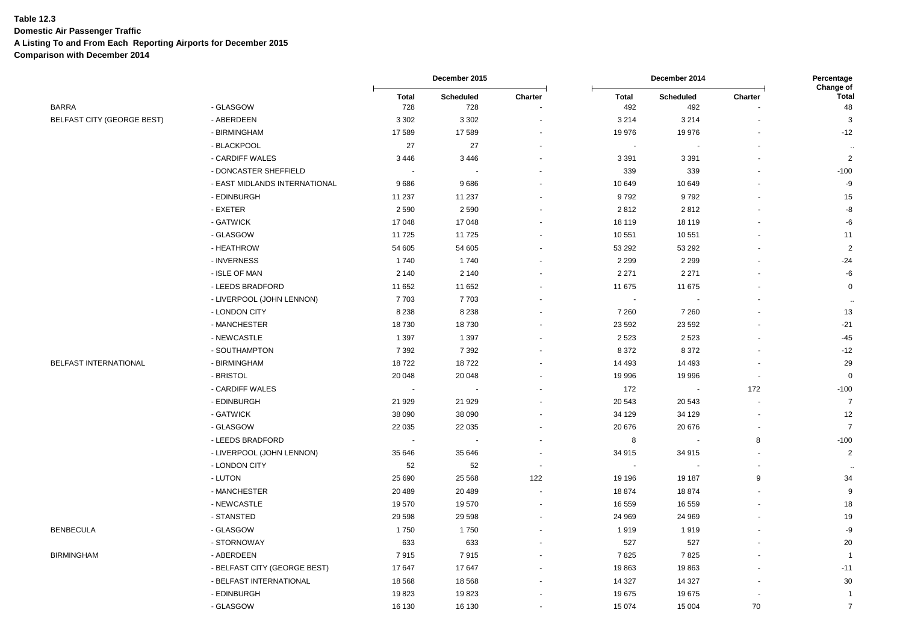**Domestic Air Passenger Traffic**

**A Listing To and From Each Reporting Airports for December 2015**

|                            |                               |              | December 2015 |                | December 2014 |                  |         | Percentage                |
|----------------------------|-------------------------------|--------------|---------------|----------------|---------------|------------------|---------|---------------------------|
|                            |                               | <b>Total</b> | Scheduled     | Charter        | Total         | <b>Scheduled</b> | Charter | Change of<br><b>Total</b> |
| BARRA                      | - GLASGOW                     | 728          | 728           |                | 492           | 492              |         | 48                        |
| BELFAST CITY (GEORGE BEST) | - ABERDEEN                    | 3 3 0 2      | 3 3 0 2       | ÷.             | 3 2 1 4       | 3 2 1 4          |         | 3                         |
|                            | - BIRMINGHAM                  | 17589        | 17589         |                | 19 976        | 19 976           |         | $-12$                     |
|                            | - BLACKPOOL                   | 27           | 27            |                |               |                  |         |                           |
|                            | - CARDIFF WALES               | 3446         | 3 4 4 6       |                | 3 3 9 1       | 3 3 9 1          |         | $\overline{c}$            |
|                            | - DONCASTER SHEFFIELD         |              |               |                | 339           | 339              |         | $-100$                    |
|                            | - EAST MIDLANDS INTERNATIONAL | 9686         | 9686          |                | 10 649        | 10 649           |         | -9                        |
|                            | - EDINBURGH                   | 11 237       | 11 237        |                | 9792          | 9792             |         | 15                        |
|                            | - EXETER                      | 2590         | 2590          |                | 2812          | 2812             |         | -8                        |
|                            | - GATWICK                     | 17048        | 17 048        |                | 18 119        | 18 119           |         | -6                        |
|                            | - GLASGOW                     | 11725        | 11 725        |                | 10 551        | 10 551           |         | 11                        |
|                            | - HEATHROW                    | 54 605       | 54 605        |                | 53 292        | 53 292           |         | $\overline{2}$            |
|                            | - INVERNESS                   | 1740         | 1740          |                | 2 2 9 9       | 2 2 9 9          |         | $-24$                     |
|                            | - ISLE OF MAN                 | 2 1 4 0      | 2 1 4 0       |                | 2 2 7 1       | 2 2 7 1          |         | -6                        |
|                            | - LEEDS BRADFORD              | 11 652       | 11 652        |                | 11 675        | 11 675           |         | $\mathbf 0$               |
|                            | - LIVERPOOL (JOHN LENNON)     | 7703         | 7703          |                |               |                  |         |                           |
|                            | - LONDON CITY                 | 8 2 3 8      | 8 2 3 8       |                | 7 2 6 0       | 7 2 6 0          |         | 13                        |
|                            | - MANCHESTER                  | 18730        | 18730         |                | 23 592        | 23 5 9 2         |         | $-21$                     |
|                            | - NEWCASTLE                   | 1 3 9 7      | 1 3 9 7       |                | 2523          | 2 5 2 3          |         | $-45$                     |
|                            | - SOUTHAMPTON                 | 7 3 9 2      | 7 3 9 2       |                | 8 3 7 2       | 8 3 7 2          |         | $-12$                     |
| BELFAST INTERNATIONAL      | - BIRMINGHAM                  | 18722        | 18722         |                | 14 4 93       | 14 4 93          |         | 29                        |
|                            | - BRISTOL                     | 20 048       | 20 048        |                | 19 996        | 19 996           |         | $\mathbf 0$               |
|                            | - CARDIFF WALES               |              |               |                | 172           |                  | 172     | $-100$                    |
|                            | - EDINBURGH                   | 21 9 29      | 21 9 29       |                | 20 543        | 20 543           |         | $\overline{7}$            |
|                            | - GATWICK                     | 38 090       | 38 090        |                | 34 129        | 34 129           |         | 12                        |
|                            | - GLASGOW                     | 22 0 35      | 22 035        |                | 20 676        | 20 676           |         | $\overline{7}$            |
|                            | - LEEDS BRADFORD              |              |               |                | 8             |                  | 8       | $-100$                    |
|                            | - LIVERPOOL (JOHN LENNON)     | 35 646       | 35 646        |                | 34 915        | 34 915           |         | $\overline{2}$            |
|                            | - LONDON CITY                 | 52           | 52            | $\blacksquare$ |               |                  |         |                           |
|                            | - LUTON                       | 25 690       | 25 5 68       | 122            | 19 19 6       | 19 187           | 9       | 34                        |
|                            | - MANCHESTER                  | 20 489       | 20 489        |                | 18874         | 18874            |         | 9                         |
|                            | - NEWCASTLE                   | 19570        | 19570         |                | 16 559        | 16 559           |         | 18                        |
|                            | - STANSTED                    | 29 5 98      | 29 5 98       |                | 24 969        | 24 969           |         | 19                        |
| BENBECULA                  | - GLASGOW                     | 1750         | 1750          |                | 1919          | 1919             |         | -9                        |
|                            | - STORNOWAY                   | 633          | 633           |                | 527           | 527              |         | 20                        |
| BIRMINGHAM                 | - ABERDEEN                    | 7915         | 7915          |                | 7825          | 7825             |         | $\overline{1}$            |
|                            | - BELFAST CITY (GEORGE BEST)  | 17647        | 17 647        |                | 19863         | 19863            |         | $-11$                     |
|                            | - BELFAST INTERNATIONAL       | 18568        | 18 5 68       |                | 14 3 27       | 14 3 27          |         | 30                        |
|                            | - EDINBURGH                   | 19823        | 19823         |                | 19675         | 19675            |         | $\overline{1}$            |
|                            | - GLASGOW                     | 16 130       | 16 130        | $\sim$         | 15 0 74       | 15 004           | 70      | $\overline{7}$            |
|                            |                               |              |               |                |               |                  |         |                           |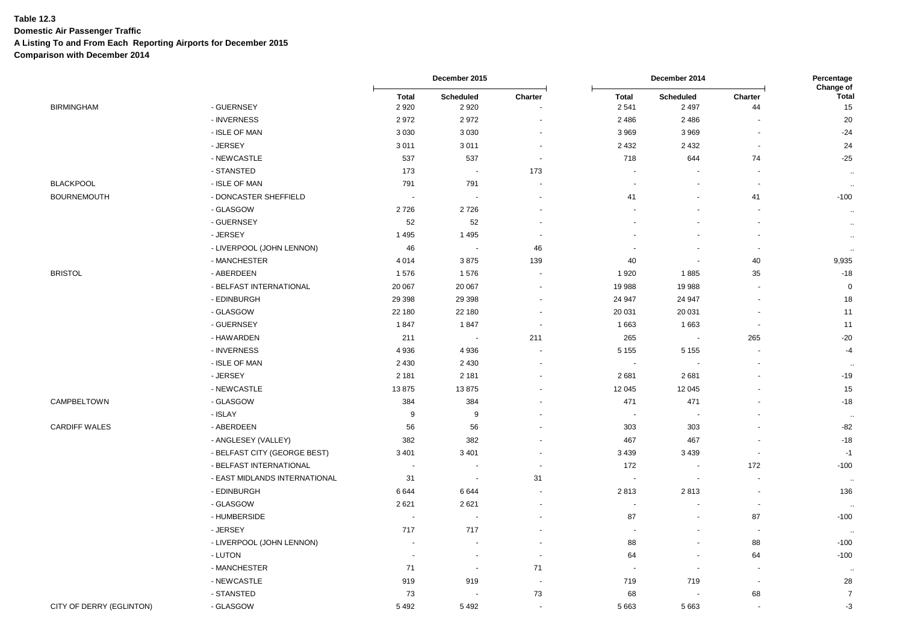**Domestic Air Passenger Traffic**

**A Listing To and From Each Reporting Airports for December 2015**

|                          |                               |                          | December 2015            |                          |                       | December 2014            |                          |                                        |  |
|--------------------------|-------------------------------|--------------------------|--------------------------|--------------------------|-----------------------|--------------------------|--------------------------|----------------------------------------|--|
| <b>BIRMINGHAM</b>        | - GUERNSEY                    | <b>Total</b><br>2920     | Scheduled<br>2920        | Charter                  | <b>Total</b><br>2541  | Scheduled<br>2 4 9 7     | Charter<br>44            | <b>Change of</b><br><b>Total</b><br>15 |  |
|                          | - INVERNESS                   | 2972                     | 2972                     |                          | 2486                  | 2 4 8 6                  |                          | 20                                     |  |
|                          | - ISLE OF MAN                 | 3 0 3 0                  | 3 0 3 0                  |                          | 3 9 6 9               | 3 9 6 9                  | $\blacksquare$           | $-24$                                  |  |
|                          | - JERSEY                      | 3011                     | 3011                     | $\sim$                   | 2 4 3 2               | 2 4 3 2                  | $\overline{\phantom{a}}$ | 24                                     |  |
|                          | - NEWCASTLE                   | 537                      | 537                      | $\overline{\phantom{a}}$ | 718                   | 644                      | 74                       | $-25$                                  |  |
|                          | - STANSTED                    | 173                      | $\overline{\phantom{a}}$ | 173                      | $\blacksquare$        |                          | $\overline{\phantom{a}}$ | $\sim$                                 |  |
| <b>BLACKPOOL</b>         | - ISLE OF MAN                 | 791                      | 791                      |                          | ÷.                    | $\sim$                   | $\sim$                   | $\sim$                                 |  |
| <b>BOURNEMOUTH</b>       | - DONCASTER SHEFFIELD         | $\overline{\phantom{a}}$ | $\overline{\phantom{a}}$ |                          | 41                    | $\overline{\phantom{a}}$ | 41                       | $-100$                                 |  |
|                          | - GLASGOW                     | 2726                     | 2726                     |                          |                       |                          | $\sim$                   | $\mathcal{A}$                          |  |
|                          | - GUERNSEY                    | 52                       | 52                       |                          |                       |                          |                          | $\sim$                                 |  |
|                          | - JERSEY                      | 1495                     | 1495                     |                          |                       |                          | J.                       | $\sim$                                 |  |
|                          | - LIVERPOOL (JOHN LENNON)     | 46                       | $\blacksquare$           | 46                       |                       |                          | $\blacksquare$           | $\sim$                                 |  |
|                          | - MANCHESTER                  | 4 0 1 4                  | 3875                     | 139                      | 40                    | $\sim$                   | 40                       | 9,935                                  |  |
| <b>BRISTOL</b>           | - ABERDEEN                    | 1576                     | 1576                     |                          | 1920                  | 1885                     | 35                       | $-18$                                  |  |
|                          | - BELFAST INTERNATIONAL       | 20 067                   | 20 067                   |                          | 19 988                | 19 988                   |                          | $\mathbf 0$                            |  |
|                          | - EDINBURGH                   | 29 3 98                  | 29 3 98                  |                          | 24 947                | 24 947                   | $\blacksquare$           | 18                                     |  |
|                          | - GLASGOW                     | 22 180                   | 22 180                   | $\sim$                   | 20 031                | 20 031                   | $\overline{a}$           | 11                                     |  |
|                          | - GUERNSEY                    | 1847                     | 1847                     | $\sim$                   | 1 6 6 3               | 1 6 6 3                  | $\overline{\phantom{a}}$ | 11                                     |  |
|                          | - HAWARDEN                    | 211                      | $\overline{\phantom{a}}$ | 211                      | 265                   | $\sim$                   | 265                      | $-20$                                  |  |
|                          | - INVERNESS                   | 4936                     | 4 9 3 6                  |                          | 5 1 5 5               | 5 1 5 5                  | $\overline{\phantom{a}}$ | $-4$                                   |  |
|                          | - ISLE OF MAN                 | 2 4 3 0                  | 2 4 3 0                  | ä,                       | $\tilde{\phantom{a}}$ | $\blacksquare$           | ä,                       | $\ddotsc$                              |  |
|                          | - JERSEY                      | 2 1 8 1                  | 2 1 8 1                  |                          | 2681                  | 2681                     |                          | $-19$                                  |  |
|                          | - NEWCASTLE                   | 13875                    | 13875                    |                          | 12 045                | 12 045                   |                          | 15                                     |  |
| CAMPBELTOWN              | - GLASGOW                     | 384                      | 384                      |                          | 471                   | 471                      |                          | $-18$                                  |  |
|                          | - ISLAY                       | 9                        | 9                        |                          | $\blacksquare$        | $\sim$                   |                          | $\ddot{\phantom{a}}$                   |  |
| <b>CARDIFF WALES</b>     | - ABERDEEN                    | 56                       | 56                       |                          | 303                   | 303                      |                          | $-82$                                  |  |
|                          | - ANGLESEY (VALLEY)           | 382                      | 382                      |                          | 467                   | 467                      |                          | $-18$                                  |  |
|                          | - BELFAST CITY (GEORGE BEST)  | 3 4 0 1                  | 3 4 0 1                  |                          | 3 4 3 9               | 3 4 3 9                  |                          | $-1$                                   |  |
|                          | - BELFAST INTERNATIONAL       | $\overline{\phantom{a}}$ | $\overline{\phantom{a}}$ |                          | 172                   | $\sim$                   | 172                      | $-100$                                 |  |
|                          | - EAST MIDLANDS INTERNATIONAL | 31                       | $\blacksquare$           | 31                       | $\blacksquare$        | $\overline{a}$           | ÷,                       | .                                      |  |
|                          | - EDINBURGH                   | 6644                     | 6644                     | $\sim$                   | 2813                  | 2813                     | $\overline{\phantom{a}}$ | 136                                    |  |
|                          | - GLASGOW                     | 2621                     | 2621                     |                          | $\blacksquare$        |                          | $\sim$                   | .                                      |  |
|                          | - HUMBERSIDE                  | $\overline{a}$           | $\overline{a}$           |                          | 87                    | $\sim$                   | 87                       | $-100$                                 |  |
|                          | - JERSEY                      | 717                      | 717                      | ä,                       | $\blacksquare$        | $\blacksquare$           | $\tilde{\phantom{a}}$    | - 11                                   |  |
|                          | - LIVERPOOL (JOHN LENNON)     | $\overline{\phantom{a}}$ |                          |                          | 88                    | $\overline{\phantom{a}}$ | 88                       | $-100$                                 |  |
|                          | - LUTON                       | $\sim$                   | $\overline{\phantom{a}}$ |                          | 64                    | $\blacksquare$           | 64                       | $-100$                                 |  |
|                          | - MANCHESTER                  | 71                       | $\blacksquare$           | 71                       | $\sim$                | $\blacksquare$           | $\overline{\phantom{a}}$ | $\ddotsc$                              |  |
|                          | - NEWCASTLE                   | 919                      | 919                      |                          | 719                   | 719                      | $\overline{\phantom{a}}$ | 28                                     |  |
|                          | - STANSTED                    | 73                       |                          | 73                       | 68                    | $\overline{a}$           | 68                       | $\overline{7}$                         |  |
| CITY OF DERRY (EGLINTON) | - GLASGOW                     | 5492                     | 5492                     |                          | 5 6 6 3               | 5 6 6 3                  | $\overline{\phantom{a}}$ | $-3$                                   |  |
|                          |                               |                          |                          |                          |                       |                          |                          |                                        |  |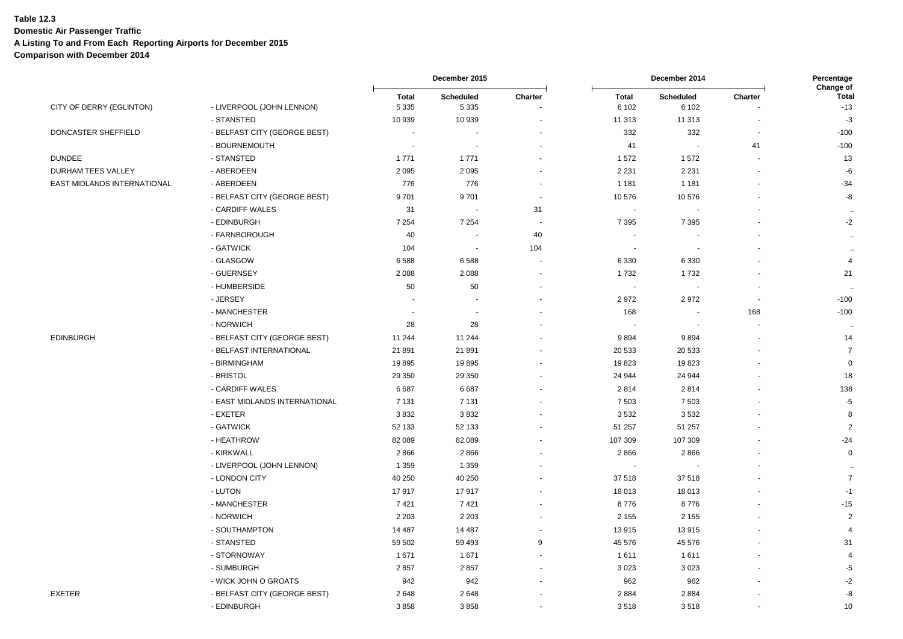**Domestic Air Passenger Traffic**

**A Listing To and From Each Reporting Airports for December 2015**

|                             |                               | December 2015           |                             |                          | December 2014           |                           |                          |                                    |
|-----------------------------|-------------------------------|-------------------------|-----------------------------|--------------------------|-------------------------|---------------------------|--------------------------|------------------------------------|
| CITY OF DERRY (EGLINTON)    | - LIVERPOOL (JOHN LENNON)     | <b>Total</b><br>5 3 3 5 | <b>Scheduled</b><br>5 3 3 5 | Charter                  | <b>Total</b><br>6 1 0 2 | <b>Scheduled</b><br>6 102 | Charter                  | Change of<br><b>Total</b><br>$-13$ |
|                             | - STANSTED                    | 10 939                  | 10 939                      |                          | 11 313                  | 11 313                    |                          | $-3$                               |
| DONCASTER SHEFFIELD         | - BELFAST CITY (GEORGE BEST)  | $\sim$                  |                             |                          | 332                     | 332                       | $\blacksquare$           | $-100$                             |
|                             | - BOURNEMOUTH                 | $\sim$                  |                             |                          | 41                      |                           | 41                       | $-100$                             |
| <b>DUNDEE</b>               | - STANSTED                    | 1771                    | 1 7 7 1                     | $\ddot{\phantom{1}}$     | 1572                    | 1572                      | $\sim$                   | 13                                 |
| DURHAM TEES VALLEY          | - ABERDEEN                    | 2095                    | 2095                        |                          | 2 2 3 1                 | 2 2 3 1                   | $\sim$                   | $-6$                               |
| EAST MIDLANDS INTERNATIONAL | - ABERDEEN                    | 776                     | 776                         | $\ddot{\phantom{1}}$     | 1 1 8 1                 | 1 1 8 1                   | $\ddot{\phantom{1}}$     | $-34$                              |
|                             | - BELFAST CITY (GEORGE BEST)  | 9701                    | 9701                        | $\blacksquare$           | 10576                   | 10576                     |                          | -8                                 |
|                             | - CARDIFF WALES               | 31                      |                             | 31                       |                         |                           |                          | $\ddot{\phantom{a}}$               |
|                             | - EDINBURGH                   | 7 2 5 4                 | 7 2 5 4                     | $\sim$                   | 7 3 9 5                 | 7 3 9 5                   |                          | $-2$                               |
|                             | - FARNBOROUGH                 | 40                      |                             | 40                       |                         |                           |                          | $\ddot{\phantom{a}}$               |
|                             | - GATWICK                     | 104                     | $\blacksquare$              | 104                      | $\blacksquare$          | $\overline{\phantom{a}}$  |                          | ÷.                                 |
|                             | - GLASGOW                     | 6588                    | 6588                        | $\overline{\phantom{a}}$ | 6 3 3 0                 | 6 3 3 0                   |                          | $\overline{4}$                     |
|                             | - GUERNSEY                    | 2 0 8 8                 | 2 0 8 8                     | $\blacksquare$           | 1732                    | 1732                      | $\blacksquare$           | 21                                 |
|                             | - HUMBERSIDE                  | 50                      | 50                          |                          |                         |                           | $\overline{\phantom{a}}$ |                                    |
|                             | - JERSEY                      | ÷.                      |                             |                          | 2972                    | 2972                      | $\blacksquare$           | $-100$                             |
|                             | - MANCHESTER                  | ÷,                      |                             |                          | 168                     |                           | 168                      | $-100$                             |
|                             | - NORWICH                     | 28                      | 28                          |                          |                         |                           | ÷.                       | $\sim$                             |
| <b>EDINBURGH</b>            | - BELFAST CITY (GEORGE BEST)  | 11 244                  | 11 244                      |                          | 9894                    | 9894                      |                          | 14                                 |
|                             | - BELFAST INTERNATIONAL       | 21891                   | 21 891                      |                          | 20 5 33                 | 20 533                    |                          | $\overline{7}$                     |
|                             | - BIRMINGHAM                  | 19895                   | 19895                       |                          | 19823                   | 19823                     |                          | $\mathbf 0$                        |
|                             | - BRISTOL                     | 29 350                  | 29 350                      | $\sim$                   | 24 944                  | 24 944                    |                          | 18                                 |
|                             | - CARDIFF WALES               | 6687                    | 6687                        | $\ddot{\phantom{1}}$     | 2814                    | 2814                      |                          | 138                                |
|                             | - EAST MIDLANDS INTERNATIONAL | 7 1 3 1                 | 7 1 3 1                     |                          | 7 5 0 3                 | 7 5 0 3                   |                          | $-5$                               |
|                             | - EXETER                      | 3832                    | 3832                        |                          | 3532                    | 3532                      |                          | 8                                  |
|                             | - GATWICK                     | 52 133                  | 52 133                      |                          | 51 257                  | 51 257                    |                          | $\overline{2}$                     |
|                             | - HEATHROW                    | 82 089                  | 82 089                      |                          | 107 309                 | 107 309                   |                          | $-24$                              |
|                             | - KIRKWALL                    | 2866                    | 2866                        |                          | 2866                    | 2866                      |                          | $\mathbf 0$                        |
|                             | - LIVERPOOL (JOHN LENNON)     | 1 3 5 9                 | 1 3 5 9                     |                          |                         |                           |                          | $\ddot{\phantom{a}}$               |
|                             | - LONDON CITY                 | 40 250                  | 40 250                      | $\overline{\phantom{a}}$ | 37 518                  | 37 518                    |                          | $\overline{7}$                     |
|                             | - LUTON                       | 17917                   | 17917                       |                          | 18 013                  | 18 013                    |                          | $-1$                               |
|                             | - MANCHESTER                  | 7421                    | 7421                        | $\blacksquare$           | 8776                    | 8776                      |                          | $-15$                              |
|                             | - NORWICH                     | 2 2 0 3                 | 2 2 0 3                     | $\sim$                   | 2 1 5 5                 | 2 1 5 5                   |                          | $\overline{2}$                     |
|                             | - SOUTHAMPTON                 | 14 4 8 7                | 14 487                      |                          | 13915                   | 13915                     |                          | $\overline{4}$                     |
|                             | - STANSTED                    | 59 502                  | 59 493                      | 9                        | 45 576                  | 45 576                    |                          | 31                                 |
|                             | - STORNOWAY                   | 1671                    | 1671                        |                          | 1611                    | 1611                      |                          | $\overline{a}$                     |
|                             | - SUMBURGH                    | 2857                    | 2857                        | $\overline{\phantom{a}}$ | 3023                    | 3 0 2 3                   |                          | $-5$                               |
|                             | - WICK JOHN O GROATS          | 942                     | 942                         |                          | 962                     | 962                       |                          | $-2$                               |
| <b>EXETER</b>               | - BELFAST CITY (GEORGE BEST)  | 2648                    | 2648                        |                          | 2884                    | 2884                      |                          | $\textnormal{-}8$                  |
|                             | - EDINBURGH                   | 3858                    | 3858                        | $\sim$                   | 3518                    | 3518                      | $\blacksquare$           | 10                                 |
|                             |                               |                         |                             |                          |                         |                           |                          |                                    |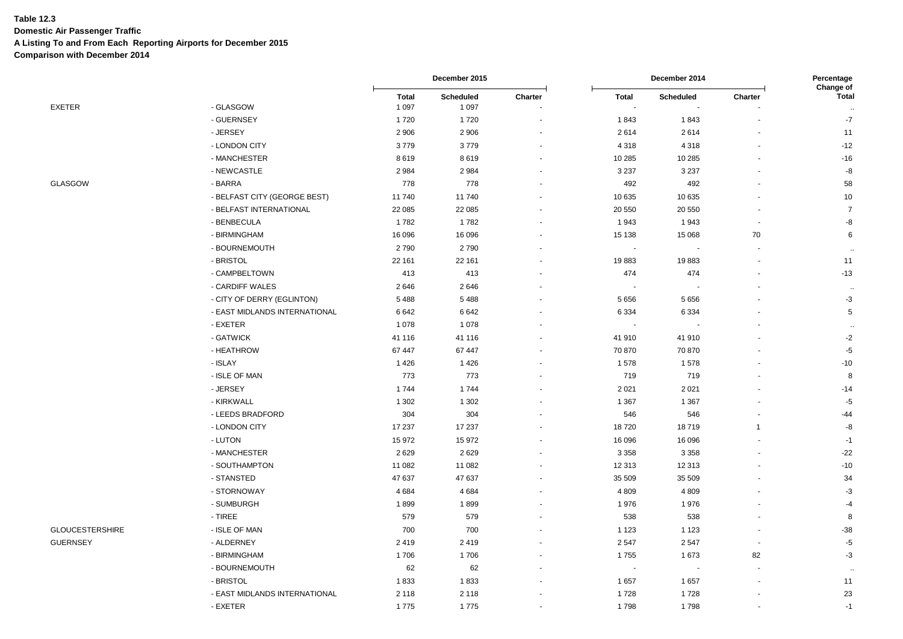**Domestic Air Passenger Traffic**

**A Listing To and From Each Reporting Airports for December 2015**

|                        |                               | December 2015 |           |         |         | Percentage |                          |                           |
|------------------------|-------------------------------|---------------|-----------|---------|---------|------------|--------------------------|---------------------------|
|                        |                               | <b>Total</b>  | Scheduled | Charter | Total   | Scheduled  | Charter                  | Change of<br><b>Total</b> |
| EXETER                 | - GLASGOW                     | 1 0 9 7       | 1 0 9 7   |         |         |            |                          |                           |
|                        | - GUERNSEY                    | 1720          | 1720      |         | 1843    | 1843       |                          | $-7$                      |
|                        | - JERSEY                      | 2 9 0 6       | 2 9 0 6   |         | 2614    | 2614       |                          | 11                        |
|                        | - LONDON CITY                 | 3779          | 3779      |         | 4 3 1 8 | 4 3 1 8    |                          | $-12$                     |
|                        | - MANCHESTER                  | 8619          | 8619      |         | 10 285  | 10 285     |                          | $-16$                     |
|                        | - NEWCASTLE                   | 2984          | 2 9 8 4   |         | 3 2 3 7 | 3 2 3 7    |                          | $\textnormal{-}8$         |
| GLASGOW                | - BARRA                       | 778           | 778       |         | 492     | 492        |                          | 58                        |
|                        | - BELFAST CITY (GEORGE BEST)  | 11740         | 11 740    |         | 10 635  | 10 635     |                          | 10                        |
|                        | - BELFAST INTERNATIONAL       | 22 085        | 22 085    |         | 20 550  | 20 550     |                          | $\overline{7}$            |
|                        | - BENBECULA                   | 1782          | 1782      |         | 1943    | 1943       | ä,                       | -8                        |
|                        | - BIRMINGHAM                  | 16 096        | 16 096    |         | 15 138  | 15 0 68    | 70                       | 6                         |
|                        | - BOURNEMOUTH                 | 2790          | 2790      |         |         |            |                          |                           |
|                        | - BRISTOL                     | 22 161        | 22 161    |         | 19883   | 19883      |                          | 11                        |
|                        | - CAMPBELTOWN                 | 413           | 413       |         | 474     | 474        |                          | $-13$                     |
|                        | - CARDIFF WALES               | 2646          | 2646      |         |         |            |                          |                           |
|                        | - CITY OF DERRY (EGLINTON)    | 5488          | 5 4 8 8   |         | 5 6 5 6 | 5656       |                          | $-3$                      |
|                        | - EAST MIDLANDS INTERNATIONAL | 6642          | 6642      |         | 6 3 3 4 | 6 3 3 4    |                          | $\mathbf 5$               |
|                        | - EXETER                      | 1078          | 1 0 7 8   |         |         |            |                          |                           |
|                        | - GATWICK                     | 41 116        | 41 116    |         | 41 910  | 41 910     |                          | $-2$                      |
|                        | - HEATHROW                    | 67 447        | 67 447    |         | 70 870  | 70 870     |                          | $-5$                      |
|                        | - ISLAY                       | 1426          | 1426      |         | 1578    | 1578       |                          | $-10$                     |
|                        | - ISLE OF MAN                 | 773           | 773       |         | 719     | 719        |                          | 8                         |
|                        | - JERSEY                      | 1744          | 1744      |         | 2 0 21  | 2 0 2 1    |                          | $-14$                     |
|                        | - KIRKWALL                    | 1 3 0 2       | 1 3 0 2   |         | 1 3 6 7 | 1 3 6 7    |                          | $-5$                      |
|                        | - LEEDS BRADFORD              | 304           | 304       |         | 546     | 546        | $\blacksquare$           | $-44$                     |
|                        | - LONDON CITY                 | 17 237        | 17 237    |         | 18720   | 18719      | $\overline{1}$           | -8                        |
|                        | - LUTON                       | 15972         | 15 972    |         | 16 096  | 16 096     |                          | $-1$                      |
|                        | - MANCHESTER                  | 2629          | 2629      |         | 3 3 5 8 | 3 3 5 8    |                          | $-22$                     |
|                        | - SOUTHAMPTON                 | 11 082        | 11 082    |         | 12 313  | 12 313     |                          | $-10$                     |
|                        | - STANSTED                    | 47 637        | 47 637    |         | 35 509  | 35 509     |                          | 34                        |
|                        | - STORNOWAY                   | 4 6 8 4       | 4684      |         | 4 8 0 9 | 4809       |                          | $-3$                      |
|                        | - SUMBURGH                    | 1899          | 1899      |         | 1976    | 1976       |                          | $-4$                      |
|                        | - TIREE                       | 579           | 579       |         | 538     | 538        |                          | 8                         |
| <b>GLOUCESTERSHIRE</b> | - ISLE OF MAN                 | 700           | 700       |         | 1 1 2 3 | 1 1 2 3    |                          | $-38$                     |
| <b>GUERNSEY</b>        | - ALDERNEY                    | 2419          | 2419      |         | 2547    | 2547       | $\overline{\phantom{a}}$ | $-5$                      |
|                        | - BIRMINGHAM                  | 1706          | 1706      |         | 1755    | 1673       | 82                       | $-3$                      |
|                        | - BOURNEMOUTH                 | 62            | 62        |         |         |            |                          |                           |
|                        | - BRISTOL                     | 1833          | 1833      |         | 1657    | 1657       |                          | 11                        |
|                        | - EAST MIDLANDS INTERNATIONAL | 2 1 1 8       | 2 1 1 8   |         | 1728    | 1728       |                          | 23                        |
|                        | - EXETER                      | 1775          | 1 775     |         | 1798    | 1 7 QR     |                          | $-1$                      |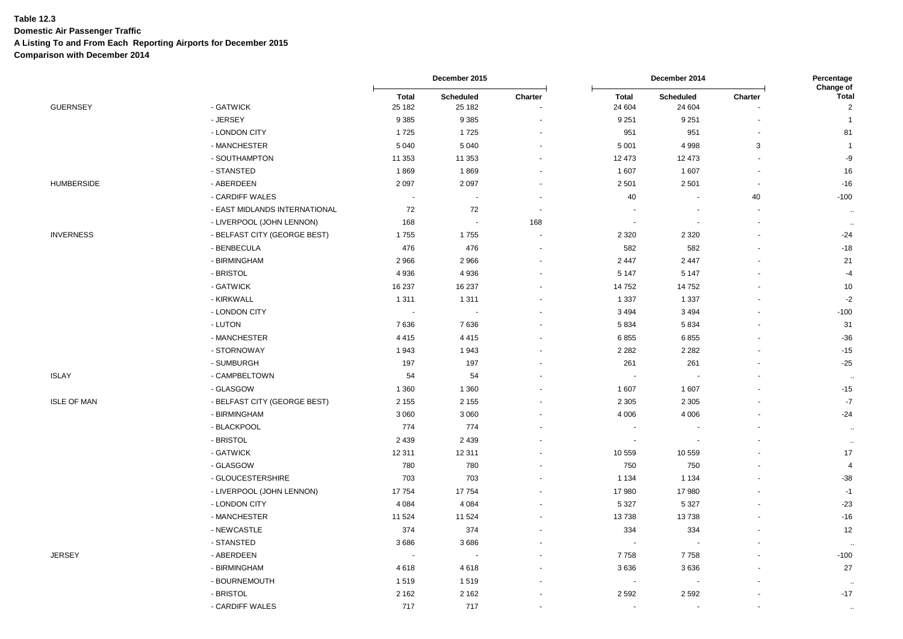**Domestic Air Passenger Traffic**

**A Listing To and From Each Reporting Airports for December 2015**

|                    |                               | December 2015            |                            |         | Percentage<br>Change of  |                            |                          |                                |
|--------------------|-------------------------------|--------------------------|----------------------------|---------|--------------------------|----------------------------|--------------------------|--------------------------------|
| <b>GUERNSEY</b>    | - GATWICK                     | <b>Total</b><br>25 182   | <b>Scheduled</b><br>25 182 | Charter | <b>Total</b><br>24 604   | <b>Scheduled</b><br>24 604 | Charter                  | <b>Total</b><br>$\overline{2}$ |
|                    | - JERSEY                      | 9385                     | 9 3 8 5                    |         | 9 2 5 1                  | 9 2 5 1                    |                          | $\overline{1}$                 |
|                    | - LONDON CITY                 | 1725                     | 1725                       |         | 951                      | 951                        | ÷.                       | 81                             |
|                    | - MANCHESTER                  | 5 0 4 0                  | 5 0 4 0                    |         | 5 0 0 1                  | 4 9 9 8                    | 3                        | $\overline{1}$                 |
|                    | - SOUTHAMPTON                 | 11 353                   | 11 353                     |         | 12 473                   | 12 473                     | $\sim$                   | -9                             |
|                    | - STANSTED                    | 1869                     | 1869                       |         | 1 607                    | 1 607                      | $\overline{\phantom{a}}$ | 16                             |
| <b>HUMBERSIDE</b>  | - ABERDEEN                    | 2097                     | 2 0 9 7                    |         | 2 5 0 1                  | 2501                       |                          | $-16$                          |
|                    | - CARDIFF WALES               | $\blacksquare$           | $\overline{\phantom{a}}$   |         | 40                       | $\sim$                     | 40                       | $-100$                         |
|                    | - EAST MIDLANDS INTERNATIONAL | 72                       | 72                         | $\sim$  | $\blacksquare$           |                            | ä,                       | $\sim$                         |
|                    | - LIVERPOOL (JOHN LENNON)     | 168                      | $\overline{\phantom{a}}$   | 168     | $\overline{\phantom{a}}$ | $\blacksquare$             | $\ddot{\phantom{0}}$     | $\sim$                         |
| <b>INVERNESS</b>   | - BELFAST CITY (GEORGE BEST)  | 1755                     | 1755                       |         | 2 3 2 0                  | 2 3 2 0                    |                          | $-24$                          |
|                    | - BENBECULA                   | 476                      | 476                        |         | 582                      | 582                        | $\ddot{\phantom{1}}$     | $-18$                          |
|                    | - BIRMINGHAM                  | 2966                     | 2 9 6 6                    |         | 2 4 4 7                  | 2 4 4 7                    |                          | 21                             |
|                    | - BRISTOL                     | 4936                     | 4936                       |         | 5 1 4 7                  | 5 1 4 7                    |                          | $-4$                           |
|                    | - GATWICK                     | 16 237                   | 16 237                     |         | 14752                    | 14752                      |                          | 10                             |
|                    | - KIRKWALL                    | 1311                     | 1 3 1 1                    |         | 1 3 3 7                  | 1 3 3 7                    |                          | $-2$                           |
|                    | - LONDON CITY                 | $\blacksquare$           | $\overline{\phantom{a}}$   |         | 3 4 9 4                  | 3 4 9 4                    |                          | $-100$                         |
|                    | - LUTON                       | 7636                     | 7636                       |         | 5834                     | 5834                       |                          | 31                             |
|                    | - MANCHESTER                  | 4415                     | 4415                       |         | 6855                     | 6855                       |                          | $-36$                          |
|                    | - STORNOWAY                   | 1943                     | 1943                       |         | 2 2 8 2                  | 2 2 8 2                    |                          | $-15$                          |
|                    | - SUMBURGH                    | 197                      | 197                        |         | 261                      | 261                        |                          | $-25$                          |
| <b>ISLAY</b>       | - CAMPBELTOWN                 | 54                       | 54                         |         | ä,                       |                            |                          | $\sim$                         |
|                    | - GLASGOW                     | 1 3 6 0                  | 1 3 6 0                    |         | 1 607                    | 1 607                      |                          | $-15$                          |
| <b>ISLE OF MAN</b> | - BELFAST CITY (GEORGE BEST)  | 2 1 5 5                  | 2 1 5 5                    |         | 2 3 0 5                  | 2 3 0 5                    |                          | $-7$                           |
|                    | - BIRMINGHAM                  | 3 0 6 0                  | 3 0 6 0                    |         | 4 0 0 6                  | 4 0 0 6                    |                          | $-24$                          |
|                    | - BLACKPOOL                   | 774                      | 774                        |         | $\overline{a}$           |                            |                          | $\ddotsc$                      |
|                    | - BRISTOL                     | 2 4 3 9                  | 2 4 3 9                    |         | $\blacksquare$           |                            |                          | $\sim$                         |
|                    | - GATWICK                     | 12 3 11                  | 12 311                     |         | 10 559                   | 10 559                     |                          | 17                             |
|                    | - GLASGOW                     | 780                      | 780                        |         | 750                      | 750                        |                          | $\overline{4}$                 |
|                    | - GLOUCESTERSHIRE             | 703                      | 703                        |         | 1 1 3 4                  | 1 1 3 4                    |                          | $-38$                          |
|                    | - LIVERPOOL (JOHN LENNON)     | 17754                    | 17754                      |         | 17980                    | 17980                      |                          | $-1$                           |
|                    | - LONDON CITY                 | 4 0 8 4                  | 4 0 8 4                    |         | 5 3 2 7                  | 5 3 2 7                    |                          | $-23$                          |
|                    | - MANCHESTER                  | 11 5 24                  | 11 524                     |         | 13738                    | 13738                      |                          | $-16$                          |
|                    | - NEWCASTLE                   | 374                      | 374                        |         | 334                      | 334                        |                          | 12                             |
|                    | - STANSTED                    | 3686                     | 3686                       |         | $\overline{a}$           |                            |                          | ٠.                             |
| <b>JERSEY</b>      | - ABERDEEN                    | $\overline{\phantom{a}}$ |                            |         | 7758                     | 7758                       |                          | $-100$                         |
|                    | - BIRMINGHAM                  | 4618                     | 4 6 18                     |         | 3636                     | 3636                       |                          | 27                             |
|                    | - BOURNEMOUTH                 | 1519                     | 1519                       |         | ÷.                       |                            |                          | $\sim$                         |
|                    | - BRISTOL                     | 2 1 6 2                  | 2 1 6 2                    |         | 2 5 9 2                  | 2 5 9 2                    |                          | $-17$                          |
|                    | - CARDIFF WALES               | 717                      | 717                        |         | $\overline{\phantom{a}}$ | L,                         | ä,                       | $\sim$                         |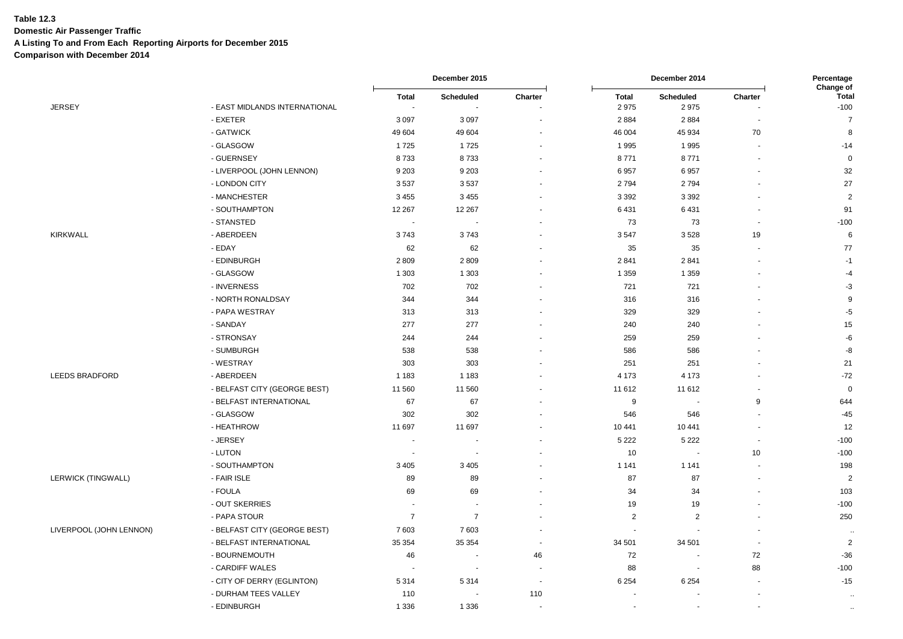**Domestic Air Passenger Traffic**

**A Listing To and From Each Reporting Airports for December 2015**

|                         |                               | December 2015  |                          |                          | December 2014            |                          |                          |                                     |
|-------------------------|-------------------------------|----------------|--------------------------|--------------------------|--------------------------|--------------------------|--------------------------|-------------------------------------|
| <b>JERSEY</b>           | - EAST MIDLANDS INTERNATIONAL | <b>Total</b>   | Scheduled                | Charter                  | <b>Total</b><br>2975     | Scheduled<br>2975        | Charter                  | Change of<br><b>Total</b><br>$-100$ |
|                         | - EXETER                      | 3097           | 3 0 9 7                  |                          | 2884                     | 2884                     | $\blacksquare$           | $\overline{7}$                      |
|                         | - GATWICK                     | 49 604         | 49 604                   |                          | 46 004                   | 45 934                   | 70                       | 8                                   |
|                         | - GLASGOW                     | 1725           | 1725                     |                          | 1995                     | 1995                     | ä,                       | $-14$                               |
|                         | - GUERNSEY                    | 8733           | 8733                     |                          | 8771                     | 8771                     | $\overline{\phantom{a}}$ | $\mathbf 0$                         |
|                         | - LIVERPOOL (JOHN LENNON)     | 9 2 0 3        | 9 2 0 3                  |                          | 6957                     | 6957                     |                          | 32                                  |
|                         | - LONDON CITY                 | 3537           | 3537                     |                          | 2794                     | 2794                     |                          | 27                                  |
|                         | - MANCHESTER                  | 3 4 5 5        | 3 4 5 5                  |                          | 3 3 9 2                  | 3 3 9 2                  |                          | $\overline{\mathbf{c}}$             |
|                         | - SOUTHAMPTON                 | 12 267         | 12 267                   |                          | 6431                     | 6431                     |                          | 91                                  |
|                         | - STANSTED                    | $\sim$         | $\overline{\phantom{a}}$ |                          | 73                       | 73                       | $\blacksquare$           | $-100$                              |
| <b>KIRKWALL</b>         | - ABERDEEN                    | 3743           | 3743                     |                          | 3547                     | 3528                     | 19                       | 6                                   |
|                         | - EDAY                        | 62             | 62                       |                          | 35                       | 35                       | ٠                        | 77                                  |
|                         | - EDINBURGH                   | 2809           | 2809                     |                          | 2841                     | 2841                     |                          | $-1$                                |
|                         | - GLASGOW                     | 1 3 0 3        | 1 3 0 3                  |                          | 1 3 5 9                  | 1 3 5 9                  |                          | $-4$                                |
|                         | - INVERNESS                   | 702            | 702                      |                          | 721                      | 721                      | $\blacksquare$           | $-3$                                |
|                         | - NORTH RONALDSAY             | 344            | 344                      |                          | 316                      | 316                      |                          | 9                                   |
|                         | - PAPA WESTRAY                | 313            | 313                      |                          | 329                      | 329                      |                          | $-5$                                |
|                         | - SANDAY                      | 277            | 277                      |                          | 240                      | 240                      |                          | 15                                  |
|                         | - STRONSAY                    | 244            | 244                      |                          | 259                      | 259                      |                          | $-6$                                |
|                         | - SUMBURGH                    | 538            | 538                      |                          | 586                      | 586                      |                          | -8                                  |
|                         | - WESTRAY                     | 303            | 303                      |                          | 251                      | 251                      |                          | 21                                  |
| LEEDS BRADFORD          | - ABERDEEN                    | 1 1 8 3        | 1 1 8 3                  |                          | 4 1 7 3                  | 4 1 7 3                  |                          | $-72$                               |
|                         | - BELFAST CITY (GEORGE BEST)  | 11 560         | 11 560                   |                          | 11 612                   | 11 612                   | $\blacksquare$           | $\overline{0}$                      |
|                         | - BELFAST INTERNATIONAL       | 67             | 67                       |                          | 9                        | $\sim$                   | 9                        | 644                                 |
|                         | - GLASGOW                     | 302            | 302                      |                          | 546                      | 546                      | ٠                        | $-45$                               |
|                         | - HEATHROW                    | 11 697         | 11 697                   |                          | 10 441                   | 10 441                   | $\overline{a}$           | 12                                  |
|                         | - JERSEY                      |                |                          |                          | 5 2 2 2                  | 5 2 2 2                  | $\overline{a}$           | $-100$                              |
|                         | - LUTON                       |                |                          |                          | 10                       | $\blacksquare$           | 10                       | $-100$                              |
|                         | - SOUTHAMPTON                 | 3 4 0 5        | 3 4 0 5                  |                          | 1 1 4 1                  | 1 1 4 1                  |                          | 198                                 |
| LERWICK (TINGWALL)      | - FAIR ISLE                   | 89             | 89                       |                          | 87                       | 87                       | $\blacksquare$           | $\overline{c}$                      |
|                         | - FOULA                       | 69             | 69                       |                          | 34                       | 34                       |                          | 103                                 |
|                         | - OUT SKERRIES                |                |                          |                          | 19                       | 19                       |                          | $-100$                              |
|                         | - PAPA STOUR                  | $\overline{7}$ | $\overline{7}$           |                          | $\overline{2}$           | $\overline{2}$           |                          | 250                                 |
| LIVERPOOL (JOHN LENNON) | - BELFAST CITY (GEORGE BEST)  | 7603           | 7 603                    |                          | $\overline{\phantom{a}}$ | $\blacksquare$           | ٠                        | $\ddotsc$                           |
|                         | - BELFAST INTERNATIONAL       | 35 354         | 35 354                   |                          | 34 501                   | 34 501                   | $\blacksquare$           | $\overline{c}$                      |
|                         | - BOURNEMOUTH                 | 46             |                          | 46                       | 72                       | $\overline{\phantom{a}}$ | 72                       | $-36$                               |
|                         | - CARDIFF WALES               |                |                          |                          | 88                       | $\blacksquare$           | 88                       | $-100$                              |
|                         | - CITY OF DERRY (EGLINTON)    | 5 3 1 4        | 5 3 1 4                  | $\overline{\phantom{a}}$ | 6 2 5 4                  | 6 2 5 4                  |                          | $-15$                               |
|                         | - DURHAM TEES VALLEY          | 110            |                          | 110                      |                          |                          |                          |                                     |
|                         | - EDINBURGH                   | 1 3 3 6        | 1 3 3 6                  |                          |                          |                          |                          | $\bullet\bullet$                    |
|                         |                               |                |                          |                          |                          |                          |                          |                                     |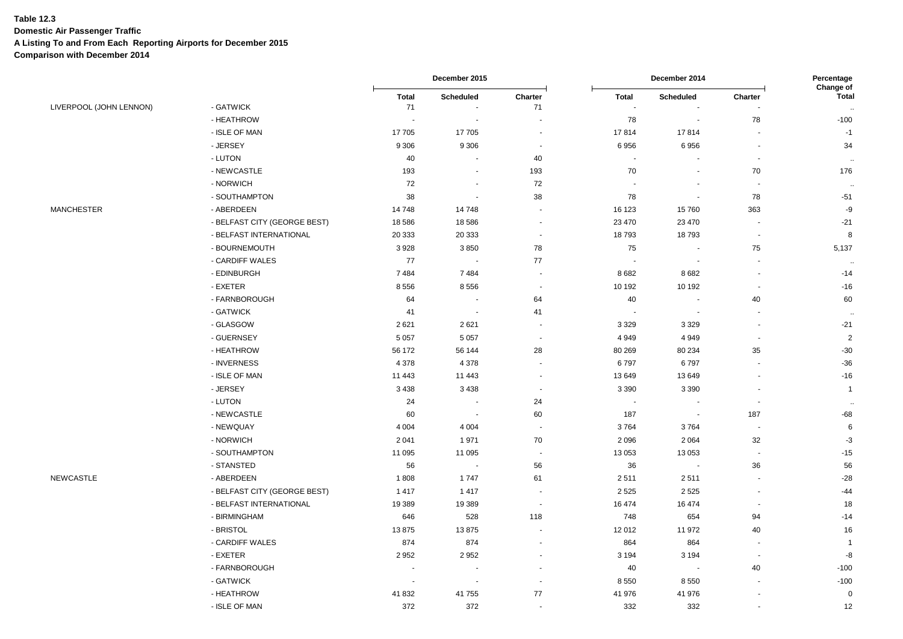**Domestic Air Passenger Traffic**

**A Listing To and From Each Reporting Airports for December 2015**

|                         |                              |              | December 2015            |                          |              | December 2014            |                          |                           |
|-------------------------|------------------------------|--------------|--------------------------|--------------------------|--------------|--------------------------|--------------------------|---------------------------|
|                         |                              | <b>Total</b> | <b>Scheduled</b>         | Charter                  | <b>Total</b> | Scheduled                | Charter                  | Change of<br><b>Total</b> |
| LIVERPOOL (JOHN LENNON) | - GATWICK                    | 71           |                          | 71                       |              |                          |                          | $\sim$                    |
|                         | - HEATHROW                   | $\sim$       | $\sim$                   | $\overline{a}$           | 78           | $\sim$                   | 78                       | $-100$                    |
|                         | - ISLE OF MAN                | 17705        | 17705                    | $\sim$                   | 17814        | 17814                    | $\blacksquare$           | $-1$                      |
|                         | - JERSEY                     | 9 3 0 6      | 9 3 0 6                  | $\overline{\phantom{a}}$ | 6956         | 6956                     | $\blacksquare$           | 34                        |
|                         | - LUTON                      | 40           | $\blacksquare$           | 40                       | ٠            |                          | ÷,                       |                           |
|                         | - NEWCASTLE                  | 193          |                          | 193                      | 70           |                          | 70                       | 176                       |
|                         | - NORWICH                    | 72           | $\blacksquare$           | 72                       |              |                          | $\sim$                   | $\ddot{\phantom{a}}$      |
|                         | - SOUTHAMPTON                | 38           | $\blacksquare$           | 38                       | 78           | $\overline{\phantom{a}}$ | 78                       | $-51$                     |
| <b>MANCHESTER</b>       | - ABERDEEN                   | 14748        | 14748                    | $\sim$                   | 16 123       | 15760                    | 363                      | $-9$                      |
|                         | - BELFAST CITY (GEORGE BEST) | 18 5 8 6     | 18 5 86                  | $\overline{\phantom{a}}$ | 23 470       | 23 4 70                  | $\overline{\phantom{a}}$ | $-21$                     |
|                         | - BELFAST INTERNATIONAL      | 20 333       | 20 333                   | $\sim$                   | 18793        | 18793                    | $\blacksquare$           | 8                         |
|                         | - BOURNEMOUTH                | 3928         | 3850                     | 78                       | 75           |                          | 75                       | 5,137                     |
|                         | - CARDIFF WALES              | 77           | $\overline{\phantom{a}}$ | 77                       |              |                          | $\sim$                   | $\ddot{\phantom{1}}$      |
|                         | - EDINBURGH                  | 7484         | 7484                     | $\blacksquare$           | 8682         | 8682                     | $\ddot{\phantom{a}}$     | $-14$                     |
|                         | - EXETER                     | 8556         | 8556                     | $\sim$                   | 10 192       | 10 192                   | $\blacksquare$           | $-16$                     |
|                         | - FARNBOROUGH                | 64           | $\sim$                   | 64                       | 40           |                          | 40                       | 60                        |
|                         | - GATWICK                    | 41           | $\sim$                   | 41                       |              |                          |                          | $\sim$                    |
|                         | - GLASGOW                    | 2621         | 2621                     | $\blacksquare$           | 3 3 2 9      | 3 3 2 9                  | $\blacksquare$           | $-21$                     |
|                         | - GUERNSEY                   | 5 0 5 7      | 5 0 5 7                  | $\overline{\phantom{a}}$ | 4949         | 4 9 4 9                  | $\overline{\phantom{a}}$ | $\overline{2}$            |
|                         | - HEATHROW                   | 56 172       | 56 144                   | 28                       | 80 269       | 80 234                   | 35                       | $-30$                     |
|                         | - INVERNESS                  | 4 3 7 8      | 4 3 7 8                  | $\overline{\phantom{a}}$ | 6797         | 6797                     | $\blacksquare$           | $-36$                     |
|                         | - ISLE OF MAN                | 11 4 43      | 11 443                   | $\blacksquare$           | 13 649       | 13 649                   | $\sim$                   | $-16$                     |
|                         | - JERSEY                     | 3 4 3 8      | 3 4 3 8                  | $\overline{\phantom{a}}$ | 3 3 9 0      | 3 3 9 0                  | $\blacksquare$           | $\mathbf{1}$              |
|                         | - LUTON                      | 24           | $\overline{\phantom{a}}$ | 24                       |              |                          | $\blacksquare$           | $\ddotsc$                 |
|                         | - NEWCASTLE                  | 60           | $\sim$                   | 60                       | 187          | $\sim$                   | 187                      | $-68$                     |
|                         | - NEWQUAY                    | 4 0 0 4      | 4 0 0 4                  | $\overline{\phantom{a}}$ | 3764         | 3764                     | $\sim$                   | 6                         |
|                         | - NORWICH                    | 2041         | 1971                     | 70                       | 2096         | 2 0 6 4                  | 32                       | $-3$                      |
|                         | - SOUTHAMPTON                | 11 0 95      | 11 095                   | $\blacksquare$           | 13 053       | 13 0 53                  | $\sim$                   | $-15$                     |
|                         | - STANSTED                   | 56           | $\sim$                   | 56                       | 36           | $\sim$                   | 36                       | 56                        |
| <b>NEWCASTLE</b>        | - ABERDEEN                   | 1808         | 1747                     | 61                       | 2511         | 2511                     | $\overline{\phantom{a}}$ | $-28$                     |
|                         | - BELFAST CITY (GEORGE BEST) | 1417         | 1417                     | $\overline{\phantom{a}}$ | 2 5 2 5      | 2525                     | $\sim$                   | $-44$                     |
|                         | - BELFAST INTERNATIONAL      | 19 389       | 19 389                   | $\sim$                   | 16 474       | 16 474                   | $\overline{a}$           | 18                        |
|                         | - BIRMINGHAM                 | 646          | 528                      | 118                      | 748          | 654                      | 94                       | $-14$                     |
|                         | - BRISTOL                    | 13875        | 13875                    | $\sim$                   | 12 012       | 11 972                   | 40                       | 16                        |
|                         | - CARDIFF WALES              | 874          | 874                      |                          | 864          | 864                      | $\blacksquare$           | $\overline{1}$            |
|                         | - EXETER                     | 2952         | 2952                     | $\sim$                   | 3 1 9 4      | 3 1 9 4                  | $\blacksquare$           | $-8$                      |
|                         | - FARNBOROUGH                |              |                          | $\sim$                   | 40           |                          | 40                       | $-100$                    |
|                         | - GATWICK                    | $\sim$       | $\blacksquare$           | $\blacksquare$           | 8 5 5 0      | 8550                     |                          | $-100$                    |
|                         | - HEATHROW                   | 41832        | 41 755                   | 77                       | 41 976       | 41 976                   | ä,                       | $\mathbf 0$               |
|                         | - ISLE OF MAN                | 372          | 372                      | $\sim$                   | 332          | 332                      | ä,                       | 12                        |
|                         |                              |              |                          |                          |              |                          |                          |                           |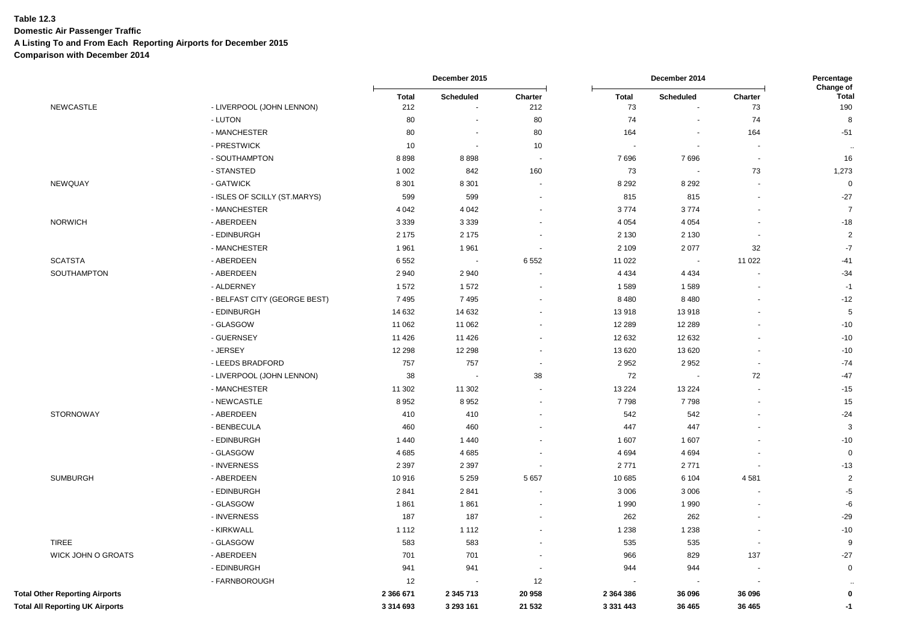**Domestic Air Passenger Traffic**

**A Listing To and From Each Reporting Airports for December 2015**

|                                       |                              |                     | December 2015            |                          |                    | Percentage<br>Change of |               |                |
|---------------------------------------|------------------------------|---------------------|--------------------------|--------------------------|--------------------|-------------------------|---------------|----------------|
| <b>NEWCASTLE</b>                      | - LIVERPOOL (JOHN LENNON)    | <b>Total</b><br>212 | Scheduled                | Charter<br>212           | <b>Total</b><br>73 | Scheduled               | Charter<br>73 | Total<br>190   |
|                                       | - LUTON                      | 80                  | $\blacksquare$           | 80                       | 74                 | $\blacksquare$          | 74            | 8              |
|                                       | - MANCHESTER                 | 80                  | $\overline{\phantom{a}}$ | 80                       | 164                |                         | 164           | $-51$          |
|                                       | - PRESTWICK                  | 10                  | $\blacksquare$           | 10                       | $\blacksquare$     | $\blacksquare$          |               |                |
|                                       | - SOUTHAMPTON                | 8898                | 8898                     | $\sim$                   | 7696               | 7696                    |               | 16             |
|                                       | - STANSTED                   | 1 0 0 2             | 842                      | 160                      | 73                 | $\sim$                  | 73            | 1,273          |
| <b>NEWQUAY</b>                        | - GATWICK                    | 8 3 0 1             | 8 3 0 1                  |                          | 8 2 9 2            | 8 2 9 2                 |               | $\Omega$       |
|                                       | - ISLES OF SCILLY (ST.MARYS) | 599                 | 599                      | $\blacksquare$           | 815                | 815                     |               | $-27$          |
|                                       | - MANCHESTER                 | 4 0 4 2             | 4 0 4 2                  | $\overline{\phantom{a}}$ | 3774               | 3774                    |               | $\overline{7}$ |
| <b>NORWICH</b>                        | - ABERDEEN                   | 3 3 3 9             | 3 3 3 9                  |                          | 4 0 5 4            | 4 0 5 4                 |               | $-18$          |
|                                       | - EDINBURGH                  | 2 1 7 5             | 2 1 7 5                  |                          | 2 1 3 0            | 2 1 3 0                 |               | $\overline{2}$ |
|                                       | - MANCHESTER                 | 1961                | 1961                     |                          | 2 1 0 9            | 2077                    | 32            | $-7$           |
| <b>SCATSTA</b>                        | - ABERDEEN                   | 6 5 5 2             | $\blacksquare$           | 6 5 5 2                  | 11 0 22            | $\sim$                  | 11 0 22       | $-41$          |
| SOUTHAMPTON                           | - ABERDEEN                   | 2940                | 2940                     |                          | 4 4 3 4            | 4 4 3 4                 |               | $-34$          |
|                                       | - ALDERNEY                   | 1572                | 1572                     | $\overline{\phantom{a}}$ | 1589               | 1589                    |               | $-1$           |
|                                       | - BELFAST CITY (GEORGE BEST) | 7495                | 7495                     |                          | 8 4 8 0            | 8 4 8 0                 |               | $-12$          |
|                                       | - EDINBURGH                  | 14 632              | 14 632                   |                          | 13918              | 13918                   |               | 5              |
|                                       | - GLASGOW                    | 11 062              | 11 062                   |                          | 12 2 8 9           | 12 2 8 9                |               | $-10$          |
|                                       | - GUERNSEY                   | 11 4 26             | 11 4 26                  |                          | 12 632             | 12 632                  |               | $-10$          |
|                                       | - JERSEY                     | 12 298              | 12 2 98                  |                          | 13 6 20            | 13 6 20                 |               | $-10$          |
|                                       | - LEEDS BRADFORD             | 757                 | 757                      |                          | 2952               | 2952                    |               | $-74$          |
|                                       | - LIVERPOOL (JOHN LENNON)    | 38                  | $\blacksquare$           | 38                       | 72                 | $\sim$                  | 72            | $-47$          |
|                                       | - MANCHESTER                 | 11 302              | 11 302                   |                          | 13 2 24            | 13 2 24                 |               | $-15$          |
|                                       | - NEWCASTLE                  | 8952                | 8952                     | $\blacksquare$           | 7798               | 7798                    |               | 15             |
| <b>STORNOWAY</b>                      | - ABERDEEN                   | 410                 | 410                      |                          | 542                | 542                     |               | $-24$          |
|                                       | - BENBECULA                  | 460                 | 460                      |                          | 447                | 447                     |               | 3              |
|                                       | - EDINBURGH                  | 1440                | 1 4 4 0                  |                          | 1607               | 1 607                   |               | $-10$          |
|                                       | - GLASGOW                    | 4685                | 4685                     |                          | 4694               | 4 6 9 4                 |               | $\mathbf 0$    |
|                                       | - INVERNESS                  | 2 3 9 7             | 2 3 9 7                  |                          | 2771               | 2771                    |               | $-13$          |
| <b>SUMBURGH</b>                       | - ABERDEEN                   | 10916               | 5 2 5 9                  | 5 6 5 7                  | 10 685             | 6 1 0 4                 | 4581          | $\overline{2}$ |
|                                       | - EDINBURGH                  | 2841                | 2841                     |                          | 3 0 0 6            | 3 0 0 6                 |               | $-5$           |
|                                       | - GLASGOW                    | 1861                | 1861                     | ٠                        | 1990               | 1990                    |               | -6             |
|                                       | - INVERNESS                  | 187                 | 187                      | $\overline{\phantom{a}}$ | 262                | 262                     |               | $-29$          |
|                                       | - KIRKWALL                   | 1 1 1 2             | 1 1 1 2                  |                          | 1 2 3 8            | 1 2 3 8                 |               | $-10$          |
| <b>TIREE</b>                          | - GLASGOW                    | 583                 | 583                      |                          | 535                | 535                     |               | 9              |
| WICK JOHN O GROATS                    | - ABERDEEN                   | 701                 | 701                      | $\overline{a}$           | 966                | 829                     | 137           | $-27$          |
|                                       | - EDINBURGH                  | 941                 | 941                      |                          | 944                | 944                     |               | $\mathbf 0$    |
|                                       | - FARNBOROUGH                | 12                  | $\overline{\phantom{a}}$ | 12                       |                    |                         |               |                |
| <b>Total Other Reporting Airports</b> |                              | 2 366 671           | 2 345 713                | 20 958                   | 2 3 6 4 3 8 6      | 36 096                  | 36 096        | $\mathbf 0$    |
| Total All Reporting UK Airports       |                              | 3 3 1 4 6 9 3       | 3 293 161                | 21 532                   | 3 3 3 1 4 4 3      | 36 465                  | 36 465        | $-1$           |